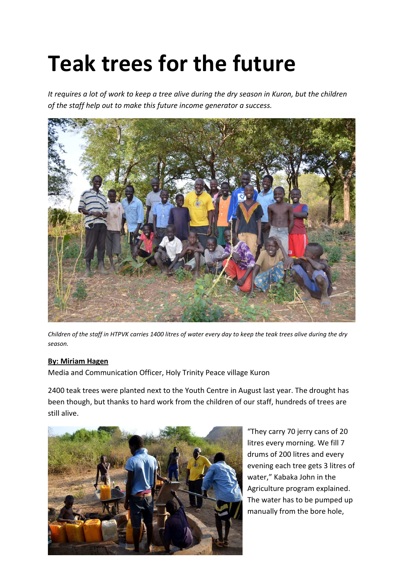## **Teak trees for the future**

*It requires a lot of work to keep a tree alive during the dry season in Kuron, but the children of the staff help out to make this future income generator a success.*



*Children of the staff in HTPVK carries 1400 litres of water every day to keep the teak trees alive during the dry season.* 

## **By: Miriam Hagen**

Media and Communication Officer, Holy Trinity Peace village Kuron

2400 teak trees were planted next to the Youth Centre in August last year. The drought has been though, but thanks to hard work from the children of our staff, hundreds of trees are still alive.



"They carry 70 jerry cans of 20 litres every morning. We fill 7 drums of 200 litres and every evening each tree gets 3 litres of water," Kabaka John in the Agriculture program explained. The water has to be pumped up manually from the bore hole,